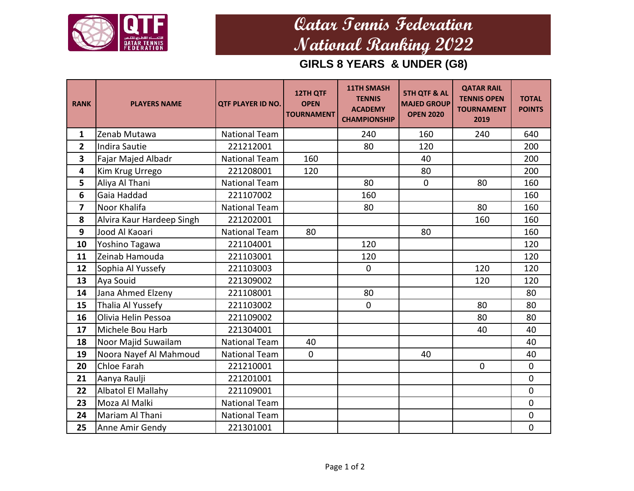

## **Qatar Tennis Federation National Ranking 2022**

**GIRLS 8 YEARS & UNDER (G8)**

| <b>RANK</b>    | <b>PLAYERS NAME</b>       | <b>QTF PLAYER ID NO.</b> | 12TH QTF<br><b>OPEN</b><br><b>TOURNAMENT</b> | <b>11TH SMASH</b><br><b>TENNIS</b><br><b>ACADEMY</b><br><b>CHAMPIONSHIP</b> | <b>5TH QTF &amp; AL</b><br><b>MAJED GROUP</b><br><b>OPEN 2020</b> | <b>QATAR RAIL</b><br><b>TENNIS OPEN</b><br><b>TOURNAMENT</b><br>2019 | <b>TOTAL</b><br><b>POINTS</b> |
|----------------|---------------------------|--------------------------|----------------------------------------------|-----------------------------------------------------------------------------|-------------------------------------------------------------------|----------------------------------------------------------------------|-------------------------------|
| $\mathbf{1}$   | Zenab Mutawa              | <b>National Team</b>     |                                              | 240                                                                         | 160                                                               | 240                                                                  | 640                           |
| $\overline{2}$ | Indira Sautie             | 221212001                |                                              | 80                                                                          | 120                                                               |                                                                      | 200                           |
| 3              | Fajar Majed Albadr        | <b>National Team</b>     | 160                                          |                                                                             | 40                                                                |                                                                      | 200                           |
| 4              | Kim Krug Urrego           | 221208001                | 120                                          |                                                                             | 80                                                                |                                                                      | 200                           |
| 5              | Aliya Al Thani            | <b>National Team</b>     |                                              | 80                                                                          | $\mathbf 0$                                                       | 80                                                                   | 160                           |
| 6              | Gaia Haddad               | 221107002                |                                              | 160                                                                         |                                                                   |                                                                      | 160                           |
| $\overline{7}$ | Noor Khalifa              | <b>National Team</b>     |                                              | 80                                                                          |                                                                   | 80                                                                   | 160                           |
| 8              | Alvira Kaur Hardeep Singh | 221202001                |                                              |                                                                             |                                                                   | 160                                                                  | 160                           |
| 9              | Jood Al Kaoari            | <b>National Team</b>     | 80                                           |                                                                             | 80                                                                |                                                                      | 160                           |
| 10             | Yoshino Tagawa            | 221104001                |                                              | 120                                                                         |                                                                   |                                                                      | 120                           |
| 11             | Zeinab Hamouda            | 221103001                |                                              | 120                                                                         |                                                                   |                                                                      | 120                           |
| 12             | Sophia Al Yussefy         | 221103003                |                                              | $\mathbf 0$                                                                 |                                                                   | 120                                                                  | 120                           |
| 13             | Aya Souid                 | 221309002                |                                              |                                                                             |                                                                   | 120                                                                  | 120                           |
| 14             | Jana Ahmed Elzeny         | 221108001                |                                              | 80                                                                          |                                                                   |                                                                      | 80                            |
| 15             | Thalia Al Yussefy         | 221103002                |                                              | $\mathbf 0$                                                                 |                                                                   | 80                                                                   | 80                            |
| 16             | Olivia Helin Pessoa       | 221109002                |                                              |                                                                             |                                                                   | 80                                                                   | 80                            |
| 17             | Michele Bou Harb          | 221304001                |                                              |                                                                             |                                                                   | 40                                                                   | 40                            |
| 18             | Noor Majid Suwailam       | <b>National Team</b>     | 40                                           |                                                                             |                                                                   |                                                                      | 40                            |
| 19             | Noora Nayef Al Mahmoud    | <b>National Team</b>     | $\mathbf 0$                                  |                                                                             | 40                                                                |                                                                      | 40                            |
| 20             | Chloe Farah               | 221210001                |                                              |                                                                             |                                                                   | $\mathbf 0$                                                          | $\mathbf 0$                   |
| 21             | Aanya Raulji              | 221201001                |                                              |                                                                             |                                                                   |                                                                      | $\mathbf 0$                   |
| 22             | <b>Albatol El Mallahy</b> | 221109001                |                                              |                                                                             |                                                                   |                                                                      | $\mathbf 0$                   |
| 23             | Moza Al Malki             | <b>National Team</b>     |                                              |                                                                             |                                                                   |                                                                      | $\mathbf 0$                   |
| 24             | Mariam Al Thani           | <b>National Team</b>     |                                              |                                                                             |                                                                   |                                                                      | $\mathbf 0$                   |
| 25             | Anne Amir Gendy           | 221301001                |                                              |                                                                             |                                                                   |                                                                      | $\pmb{0}$                     |